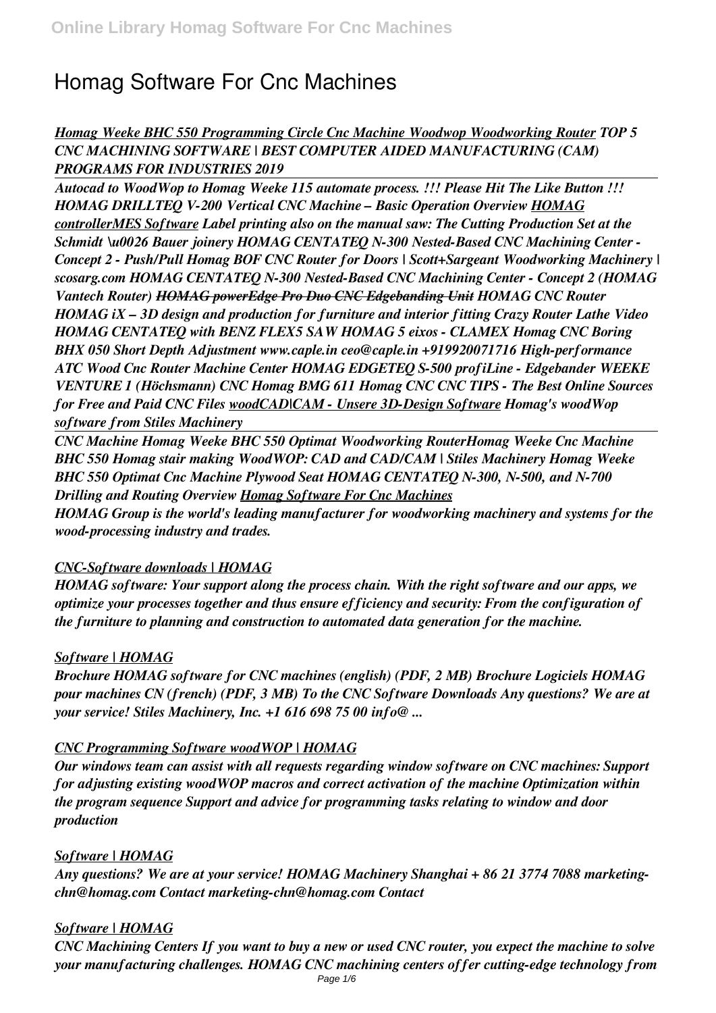# **Homag Software For Cnc Machines**

# *Homag Weeke BHC 550 Programming Circle Cnc Machine Woodwop Woodworking Router TOP 5 CNC MACHINING SOFTWARE | BEST COMPUTER AIDED MANUFACTURING (CAM) PROGRAMS FOR INDUSTRIES 2019*

*Autocad to WoodWop to Homag Weeke 115 automate process. !!! Please Hit The Like Button !!! HOMAG DRILLTEQ V-200 Vertical CNC Machine – Basic Operation Overview HOMAG controllerMES Software Label printing also on the manual saw: The Cutting Production Set at the Schmidt \u0026 Bauer joinery HOMAG CENTATEQ N-300 Nested-Based CNC Machining Center - Concept 2 - Push/Pull Homag BOF CNC Router for Doors | Scott+Sargeant Woodworking Machinery | scosarg.com HOMAG CENTATEQ N-300 Nested-Based CNC Machining Center - Concept 2 (HOMAG Vantech Router) HOMAG powerEdge Pro Duo CNC Edgebanding Unit HOMAG CNC Router HOMAG iX – 3D design and production for furniture and interior fitting Crazy Router Lathe Video HOMAG CENTATEQ with BENZ FLEX5 SAW HOMAG 5 eixos - CLAMEX Homag CNC Boring BHX 050 Short Depth Adjustment www.caple.in ceo@caple.in +919920071716 High-performance ATC Wood Cnc Router Machine Center HOMAG EDGETEQ S-500 profiLine - Edgebander WEEKE VENTURE 1 (Höchsmann) CNC Homag BMG 611 Homag CNC CNC TIPS - The Best Online Sources for Free and Paid CNC Files woodCAD|CAM - Unsere 3D-Design Software Homag's woodWop software from Stiles Machinery*

*CNC Machine Homag Weeke BHC 550 Optimat Woodworking RouterHomag Weeke Cnc Machine BHC 550 Homag stair making WoodWOP: CAD and CAD/CAM | Stiles Machinery Homag Weeke BHC 550 Optimat Cnc Machine Plywood Seat HOMAG CENTATEQ N-300, N-500, and N-700 Drilling and Routing Overview Homag Software For Cnc Machines*

*HOMAG Group is the world's leading manufacturer for woodworking machinery and systems for the wood-processing industry and trades.*

# *CNC-Software downloads | HOMAG*

*HOMAG software: Your support along the process chain. With the right software and our apps, we optimize your processes together and thus ensure efficiency and security: From the configuration of the furniture to planning and construction to automated data generation for the machine.*

# *Software | HOMAG*

*Brochure HOMAG software for CNC machines (english) (PDF, 2 MB) Brochure Logiciels HOMAG pour machines CN (french) (PDF, 3 MB) To the CNC Software Downloads Any questions? We are at your service! Stiles Machinery, Inc. +1 616 698 75 00 info@ ...*

#### *CNC Programming Software woodWOP | HOMAG*

*Our windows team can assist with all requests regarding window software on CNC machines: Support for adjusting existing woodWOP macros and correct activation of the machine Optimization within the program sequence Support and advice for programming tasks relating to window and door production*

#### *Software | HOMAG*

*Any questions? We are at your service! HOMAG Machinery Shanghai + 86 21 3774 7088 marketingchn@homag.com Contact marketing-chn@homag.com Contact*

# *Software | HOMAG*

*CNC Machining Centers If you want to buy a new or used CNC router, you expect the machine to solve your manufacturing challenges. HOMAG CNC machining centers offer cutting-edge technology from*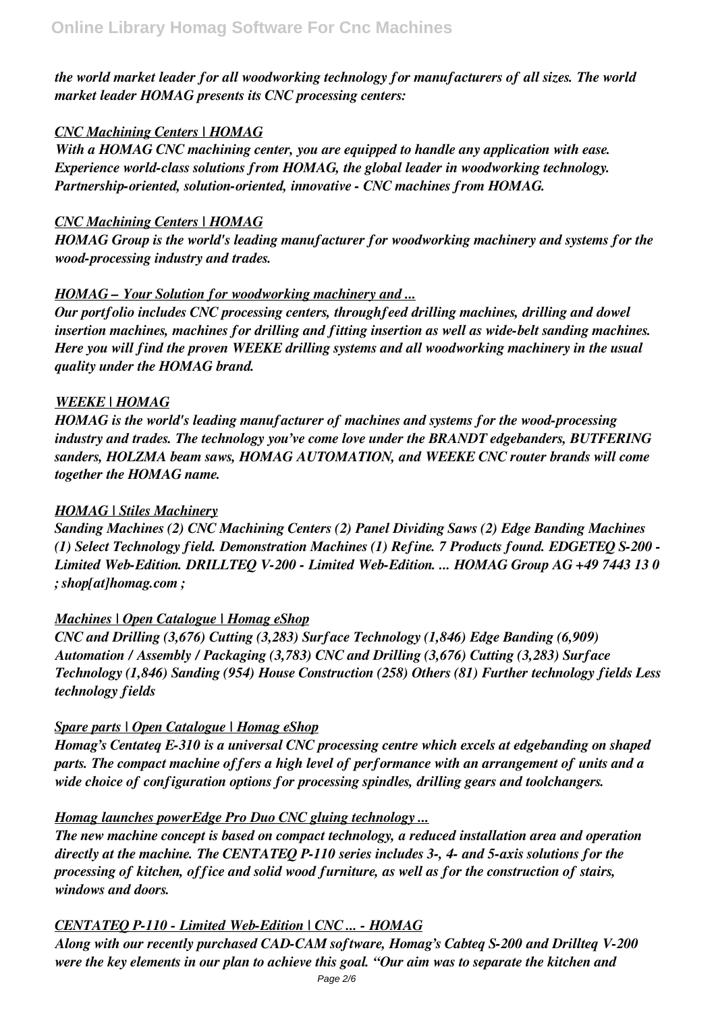*the world market leader for all woodworking technology for manufacturers of all sizes. The world market leader HOMAG presents its CNC processing centers:*

# *CNC Machining Centers | HOMAG*

*With a HOMAG CNC machining center, you are equipped to handle any application with ease. Experience world-class solutions from HOMAG, the global leader in woodworking technology. Partnership-oriented, solution-oriented, innovative - CNC machines from HOMAG.*

## *CNC Machining Centers | HOMAG*

*HOMAG Group is the world's leading manufacturer for woodworking machinery and systems for the wood-processing industry and trades.*

# *HOMAG – Your Solution for woodworking machinery and ...*

*Our portfolio includes CNC processing centers, throughfeed drilling machines, drilling and dowel insertion machines, machines for drilling and fitting insertion as well as wide-belt sanding machines. Here you will find the proven WEEKE drilling systems and all woodworking machinery in the usual quality under the HOMAG brand.*

# *WEEKE | HOMAG*

*HOMAG is the world's leading manufacturer of machines and systems for the wood-processing industry and trades. The technology you've come love under the BRANDT edgebanders, BUTFERING sanders, HOLZMA beam saws, HOMAG AUTOMATION, and WEEKE CNC router brands will come together the HOMAG name.*

# *HOMAG | Stiles Machinery*

*Sanding Machines (2) CNC Machining Centers (2) Panel Dividing Saws (2) Edge Banding Machines (1) Select Technology field. Demonstration Machines (1) Refine. 7 Products found. EDGETEQ S-200 - Limited Web-Edition. DRILLTEQ V-200 - Limited Web-Edition. ... HOMAG Group AG +49 7443 13 0 ; shop[at]homag.com ;*

#### *Machines | Open Catalogue | Homag eShop*

*CNC and Drilling (3,676) Cutting (3,283) Surface Technology (1,846) Edge Banding (6,909) Automation / Assembly / Packaging (3,783) CNC and Drilling (3,676) Cutting (3,283) Surface Technology (1,846) Sanding (954) House Construction (258) Others (81) Further technology fields Less technology fields*

# *Spare parts | Open Catalogue | Homag eShop*

*Homag's Centateq E-310 is a universal CNC processing centre which excels at edgebanding on shaped parts. The compact machine offers a high level of performance with an arrangement of units and a wide choice of configuration options for processing spindles, drilling gears and toolchangers.*

# *Homag launches powerEdge Pro Duo CNC gluing technology ...*

*The new machine concept is based on compact technology, a reduced installation area and operation directly at the machine. The CENTATEQ P-110 series includes 3-, 4- and 5-axis solutions for the processing of kitchen, office and solid wood furniture, as well as for the construction of stairs, windows and doors.*

# *CENTATEQ P-110 - Limited Web-Edition | CNC ... - HOMAG*

*Along with our recently purchased CAD-CAM software, Homag's Cabteq S-200 and Drillteq V-200 were the key elements in our plan to achieve this goal. "Our aim was to separate the kitchen and*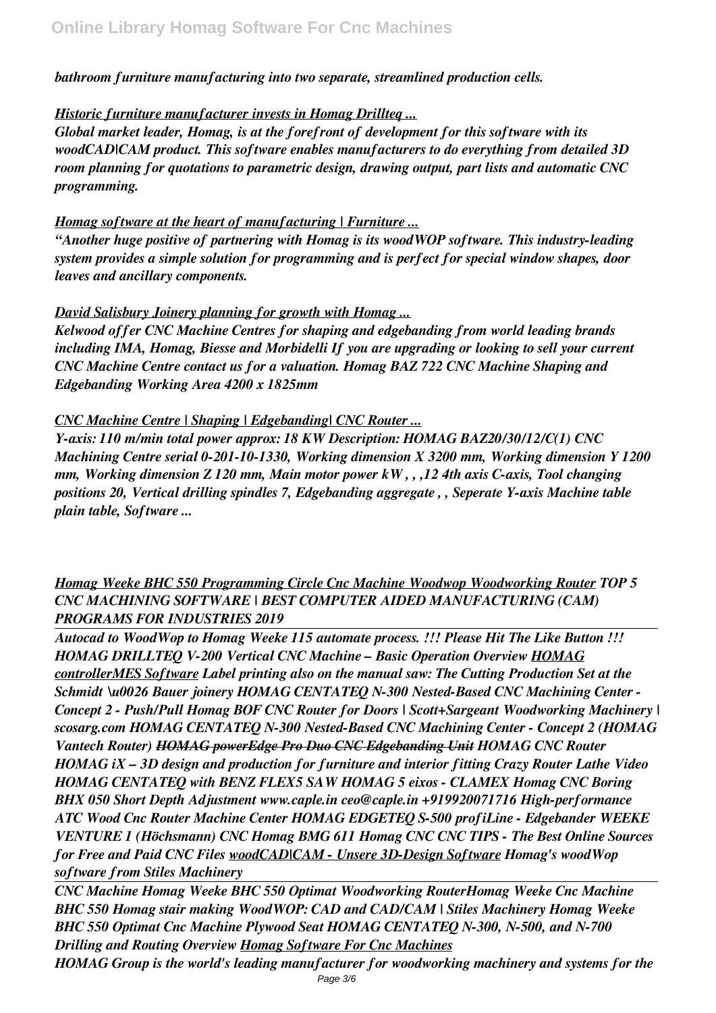*bathroom furniture manufacturing into two separate, streamlined production cells.*

# *Historic furniture manufacturer invests in Homag Drillteq ...*

*Global market leader, Homag, is at the forefront of development for this software with its woodCAD|CAM product. This software enables manufacturers to do everything from detailed 3D room planning for quotations to parametric design, drawing output, part lists and automatic CNC programming.*

# *Homag software at the heart of manufacturing | Furniture ...*

*"Another huge positive of partnering with Homag is its woodWOP software. This industry-leading system provides a simple solution for programming and is perfect for special window shapes, door leaves and ancillary components.*

# *David Salisbury Joinery planning for growth with Homag ...*

*Kelwood offer CNC Machine Centres for shaping and edgebanding from world leading brands including IMA, Homag, Biesse and Morbidelli If you are upgrading or looking to sell your current CNC Machine Centre contact us for a valuation. Homag BAZ 722 CNC Machine Shaping and Edgebanding Working Area 4200 x 1825mm*

# *CNC Machine Centre | Shaping | Edgebanding| CNC Router ...*

*Y-axis: 110 m/min total power approx: 18 KW Description: HOMAG BAZ20/30/12/C(1) CNC Machining Centre serial 0-201-10-1330, Working dimension X 3200 mm, Working dimension Y 1200 mm, Working dimension Z 120 mm, Main motor power kW , , ,12 4th axis C-axis, Tool changing positions 20, Vertical drilling spindles 7, Edgebanding aggregate , , Seperate Y-axis Machine table plain table, Software ...*

# *Homag Weeke BHC 550 Programming Circle Cnc Machine Woodwop Woodworking Router TOP 5 CNC MACHINING SOFTWARE | BEST COMPUTER AIDED MANUFACTURING (CAM) PROGRAMS FOR INDUSTRIES 2019*

*Autocad to WoodWop to Homag Weeke 115 automate process. !!! Please Hit The Like Button !!! HOMAG DRILLTEQ V-200 Vertical CNC Machine – Basic Operation Overview HOMAG controllerMES Software Label printing also on the manual saw: The Cutting Production Set at the Schmidt \u0026 Bauer joinery HOMAG CENTATEQ N-300 Nested-Based CNC Machining Center - Concept 2 - Push/Pull Homag BOF CNC Router for Doors | Scott+Sargeant Woodworking Machinery | scosarg.com HOMAG CENTATEQ N-300 Nested-Based CNC Machining Center - Concept 2 (HOMAG Vantech Router) HOMAG powerEdge Pro Duo CNC Edgebanding Unit HOMAG CNC Router HOMAG iX – 3D design and production for furniture and interior fitting Crazy Router Lathe Video HOMAG CENTATEQ with BENZ FLEX5 SAW HOMAG 5 eixos - CLAMEX Homag CNC Boring BHX 050 Short Depth Adjustment www.caple.in ceo@caple.in +919920071716 High-performance ATC Wood Cnc Router Machine Center HOMAG EDGETEQ S-500 profiLine - Edgebander WEEKE VENTURE 1 (Höchsmann) CNC Homag BMG 611 Homag CNC CNC TIPS - The Best Online Sources for Free and Paid CNC Files woodCAD|CAM - Unsere 3D-Design Software Homag's woodWop software from Stiles Machinery*

*CNC Machine Homag Weeke BHC 550 Optimat Woodworking RouterHomag Weeke Cnc Machine BHC 550 Homag stair making WoodWOP: CAD and CAD/CAM | Stiles Machinery Homag Weeke BHC 550 Optimat Cnc Machine Plywood Seat HOMAG CENTATEQ N-300, N-500, and N-700 Drilling and Routing Overview Homag Software For Cnc Machines*

*HOMAG Group is the world's leading manufacturer for woodworking machinery and systems for the* Page 3/6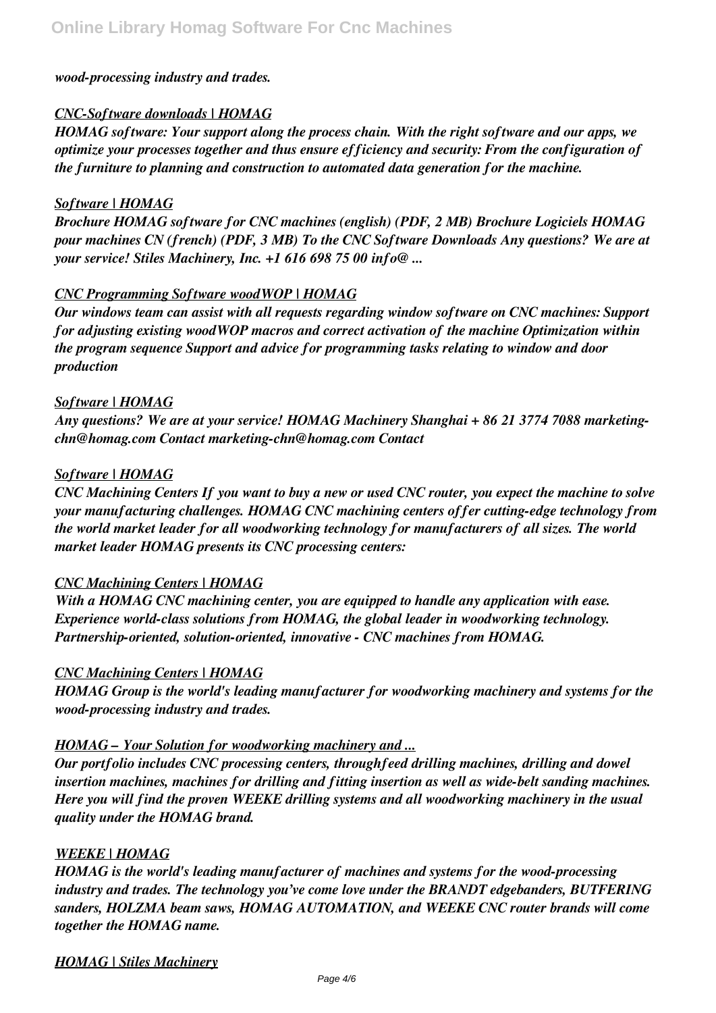#### *wood-processing industry and trades.*

#### *CNC-Software downloads | HOMAG*

*HOMAG software: Your support along the process chain. With the right software and our apps, we optimize your processes together and thus ensure efficiency and security: From the configuration of the furniture to planning and construction to automated data generation for the machine.*

#### *Software | HOMAG*

*Brochure HOMAG software for CNC machines (english) (PDF, 2 MB) Brochure Logiciels HOMAG pour machines CN (french) (PDF, 3 MB) To the CNC Software Downloads Any questions? We are at your service! Stiles Machinery, Inc. +1 616 698 75 00 info@ ...*

#### *CNC Programming Software woodWOP | HOMAG*

*Our windows team can assist with all requests regarding window software on CNC machines: Support for adjusting existing woodWOP macros and correct activation of the machine Optimization within the program sequence Support and advice for programming tasks relating to window and door production*

#### *Software | HOMAG*

*Any questions? We are at your service! HOMAG Machinery Shanghai + 86 21 3774 7088 marketingchn@homag.com Contact marketing-chn@homag.com Contact*

#### *Software | HOMAG*

*CNC Machining Centers If you want to buy a new or used CNC router, you expect the machine to solve your manufacturing challenges. HOMAG CNC machining centers offer cutting-edge technology from the world market leader for all woodworking technology for manufacturers of all sizes. The world market leader HOMAG presents its CNC processing centers:*

#### *CNC Machining Centers | HOMAG*

*With a HOMAG CNC machining center, you are equipped to handle any application with ease. Experience world-class solutions from HOMAG, the global leader in woodworking technology. Partnership-oriented, solution-oriented, innovative - CNC machines from HOMAG.*

#### *CNC Machining Centers | HOMAG*

*HOMAG Group is the world's leading manufacturer for woodworking machinery and systems for the wood-processing industry and trades.*

#### *HOMAG – Your Solution for woodworking machinery and ...*

*Our portfolio includes CNC processing centers, throughfeed drilling machines, drilling and dowel insertion machines, machines for drilling and fitting insertion as well as wide-belt sanding machines. Here you will find the proven WEEKE drilling systems and all woodworking machinery in the usual quality under the HOMAG brand.*

#### *WEEKE | HOMAG*

*HOMAG is the world's leading manufacturer of machines and systems for the wood-processing industry and trades. The technology you've come love under the BRANDT edgebanders, BUTFERING sanders, HOLZMA beam saws, HOMAG AUTOMATION, and WEEKE CNC router brands will come together the HOMAG name.*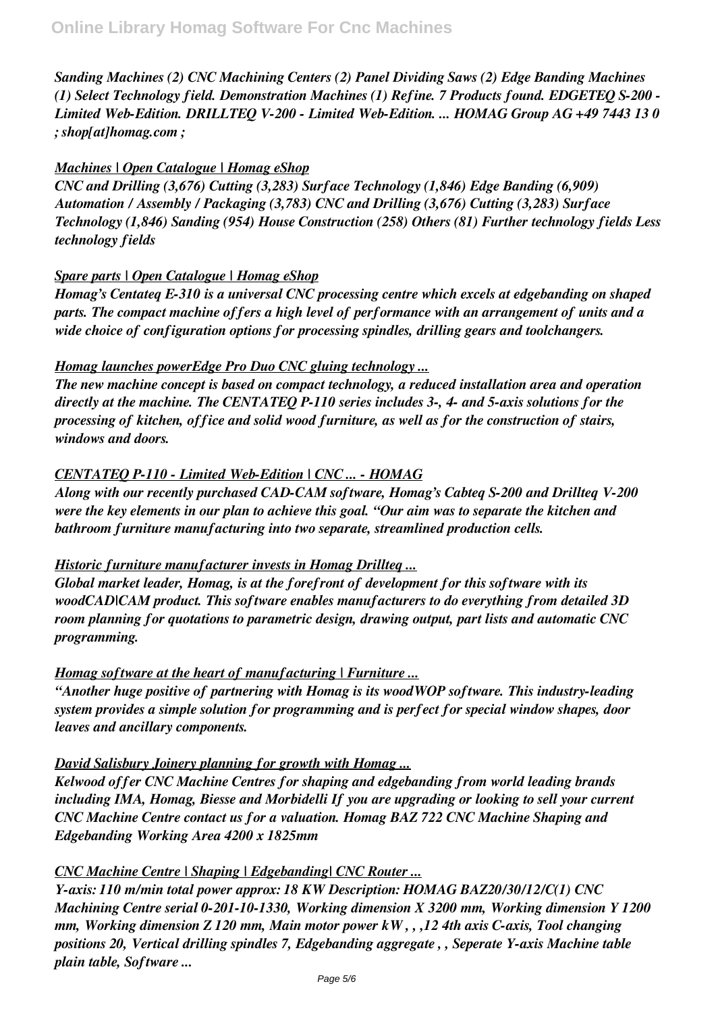*Sanding Machines (2) CNC Machining Centers (2) Panel Dividing Saws (2) Edge Banding Machines (1) Select Technology field. Demonstration Machines (1) Refine. 7 Products found. EDGETEQ S-200 - Limited Web-Edition. DRILLTEQ V-200 - Limited Web-Edition. ... HOMAG Group AG +49 7443 13 0 ; shop[at]homag.com ;*

## *Machines | Open Catalogue | Homag eShop*

*CNC and Drilling (3,676) Cutting (3,283) Surface Technology (1,846) Edge Banding (6,909) Automation / Assembly / Packaging (3,783) CNC and Drilling (3,676) Cutting (3,283) Surface Technology (1,846) Sanding (954) House Construction (258) Others (81) Further technology fields Less technology fields*

# *Spare parts | Open Catalogue | Homag eShop*

*Homag's Centateq E-310 is a universal CNC processing centre which excels at edgebanding on shaped parts. The compact machine offers a high level of performance with an arrangement of units and a wide choice of configuration options for processing spindles, drilling gears and toolchangers.*

# *Homag launches powerEdge Pro Duo CNC gluing technology ...*

*The new machine concept is based on compact technology, a reduced installation area and operation directly at the machine. The CENTATEQ P-110 series includes 3-, 4- and 5-axis solutions for the processing of kitchen, office and solid wood furniture, as well as for the construction of stairs, windows and doors.*

# *CENTATEQ P-110 - Limited Web-Edition | CNC ... - HOMAG*

*Along with our recently purchased CAD-CAM software, Homag's Cabteq S-200 and Drillteq V-200 were the key elements in our plan to achieve this goal. "Our aim was to separate the kitchen and bathroom furniture manufacturing into two separate, streamlined production cells.*

#### *Historic furniture manufacturer invests in Homag Drillteq ...*

*Global market leader, Homag, is at the forefront of development for this software with its woodCAD|CAM product. This software enables manufacturers to do everything from detailed 3D room planning for quotations to parametric design, drawing output, part lists and automatic CNC programming.*

#### *Homag software at the heart of manufacturing | Furniture ...*

*"Another huge positive of partnering with Homag is its woodWOP software. This industry-leading system provides a simple solution for programming and is perfect for special window shapes, door leaves and ancillary components.*

# *David Salisbury Joinery planning for growth with Homag ...*

*Kelwood offer CNC Machine Centres for shaping and edgebanding from world leading brands including IMA, Homag, Biesse and Morbidelli If you are upgrading or looking to sell your current CNC Machine Centre contact us for a valuation. Homag BAZ 722 CNC Machine Shaping and Edgebanding Working Area 4200 x 1825mm*

# *CNC Machine Centre | Shaping | Edgebanding| CNC Router ...*

*Y-axis: 110 m/min total power approx: 18 KW Description: HOMAG BAZ20/30/12/C(1) CNC Machining Centre serial 0-201-10-1330, Working dimension X 3200 mm, Working dimension Y 1200 mm, Working dimension Z 120 mm, Main motor power kW , , ,12 4th axis C-axis, Tool changing positions 20, Vertical drilling spindles 7, Edgebanding aggregate , , Seperate Y-axis Machine table plain table, Software ...*